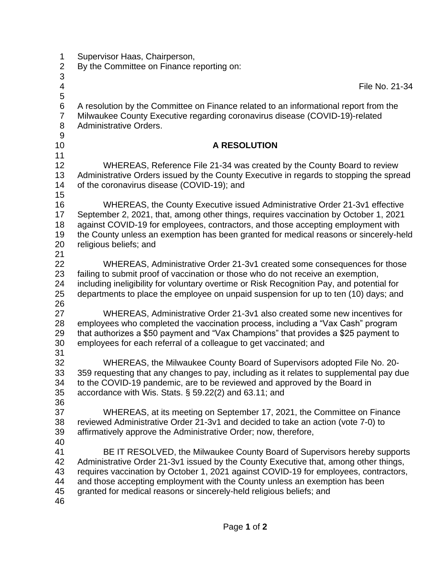| 1<br>$\overline{\mathbf{c}}$<br>3          | Supervisor Haas, Chairperson,<br>By the Committee on Finance reporting on:                                                                                                                                                                                                                                                                                                                                       |
|--------------------------------------------|------------------------------------------------------------------------------------------------------------------------------------------------------------------------------------------------------------------------------------------------------------------------------------------------------------------------------------------------------------------------------------------------------------------|
| 4<br>5                                     | File No. 21-34                                                                                                                                                                                                                                                                                                                                                                                                   |
| 6<br>$\overline{7}$<br>8<br>$\overline{9}$ | A resolution by the Committee on Finance related to an informational report from the<br>Milwaukee County Executive regarding coronavirus disease (COVID-19)-related<br>Administrative Orders.                                                                                                                                                                                                                    |
| 10<br>11                                   | <b>A RESOLUTION</b>                                                                                                                                                                                                                                                                                                                                                                                              |
| 12<br>13<br>14<br>15                       | WHEREAS, Reference File 21-34 was created by the County Board to review<br>Administrative Orders issued by the County Executive in regards to stopping the spread<br>of the coronavirus disease (COVID-19); and                                                                                                                                                                                                  |
| 16<br>17<br>18<br>19<br>20<br>21           | WHEREAS, the County Executive issued Administrative Order 21-3v1 effective<br>September 2, 2021, that, among other things, requires vaccination by October 1, 2021<br>against COVID-19 for employees, contractors, and those accepting employment with<br>the County unless an exemption has been granted for medical reasons or sincerely-held<br>religious beliefs; and                                        |
| 22<br>23<br>24<br>25<br>26                 | WHEREAS, Administrative Order 21-3v1 created some consequences for those<br>failing to submit proof of vaccination or those who do not receive an exemption,<br>including ineligibility for voluntary overtime or Risk Recognition Pay, and potential for<br>departments to place the employee on unpaid suspension for up to ten (10) days; and                                                                 |
| 27<br>28<br>29<br>30                       | WHEREAS, Administrative Order 21-3v1 also created some new incentives for<br>employees who completed the vaccination process, including a "Vax Cash" program<br>that authorizes a \$50 payment and "Vax Champions" that provides a \$25 payment to<br>employees for each referral of a colleague to get vaccinated; and                                                                                          |
| 31<br>32<br>33<br>34<br>35<br>36           | WHEREAS, the Milwaukee County Board of Supervisors adopted File No. 20-<br>359 requesting that any changes to pay, including as it relates to supplemental pay due<br>to the COVID-19 pandemic, are to be reviewed and approved by the Board in<br>accordance with Wis. Stats. $\S$ 59.22(2) and 63.11; and                                                                                                      |
| 37<br>38<br>39<br>40                       | WHEREAS, at its meeting on September 17, 2021, the Committee on Finance<br>reviewed Administrative Order 21-3v1 and decided to take an action (vote 7-0) to<br>affirmatively approve the Administrative Order; now, therefore,                                                                                                                                                                                   |
| 41<br>42<br>43<br>44<br>45<br>46           | BE IT RESOLVED, the Milwaukee County Board of Supervisors hereby supports<br>Administrative Order 21-3v1 issued by the County Executive that, among other things,<br>requires vaccination by October 1, 2021 against COVID-19 for employees, contractors,<br>and those accepting employment with the County unless an exemption has been<br>granted for medical reasons or sincerely-held religious beliefs; and |